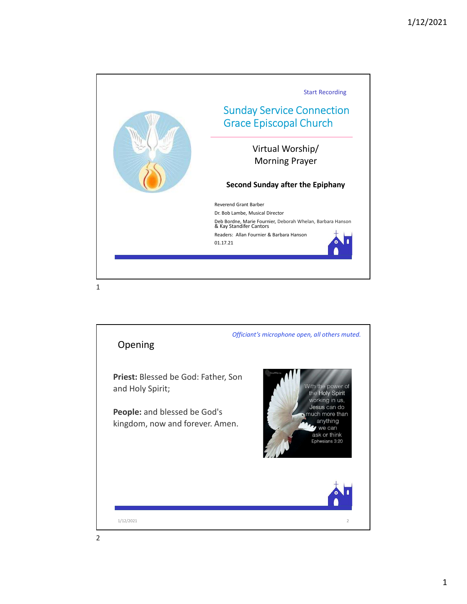

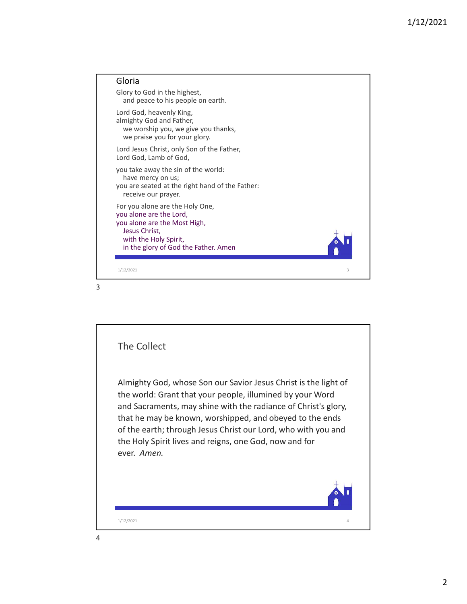

3

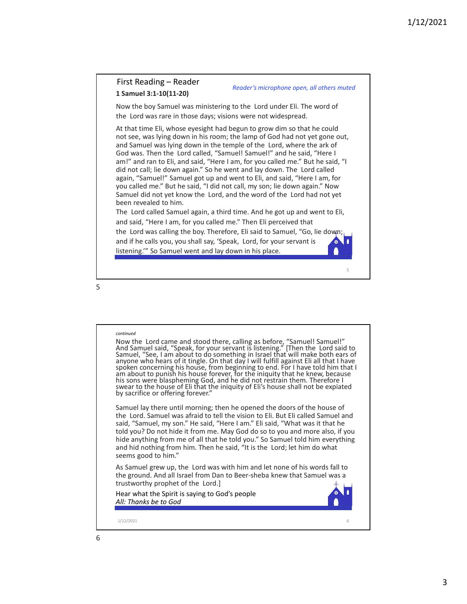# 1 Samuel 3:1-10(11-20)

Reader's microphone open, all others muted

1/12<br>
First Reading – Reader<br>
1 Samuel 3:1-10(11-20)<br>
Now the boy Samuel was ministering to the Lord under Eli. The word of<br>
the Lord was rare in those days; visions were not widespread.<br>
At that time Eli, whose eyesight h

1/12/2021<br>
First Reading – Reader<br>
1 Samuel 3:1-10(11-20)<br>
Now the boy Samuel was ministering to the Lord under Eli. The word of<br>
the Lord was rare in those days; visions were not widespread.<br>
At that time Eli, whose eyesi First Reading – Reader<br>
1 Samuel 3:1-10(11-20)<br>
Now the boy Samuel was ministering to the Lord under Eli. The word of<br>
the Lord was rare in those days; visions were not widespread.<br>
At that time Eli, whose eyesight had beg At that time Eli, whose eyesight had begun to grow dim so that he could not see, was lying down in his room; the lamp of God had not yet gone out, 1/12/2021<br>
First Reading – Reader<br>
1 Samuel 3:1-10(11-20)<br>
Now the boy Samuel was ministering to the Lord under Eli. The word of<br>
the Lord was rare in those days; visions were not widespread.<br>
4. It hat time Eli, whose ey 1/12/202<br>
First Reading – Reader<br>
1 Samuel 3:1-10(11-20)<br>
Now the boy Samuel was ministering to the Lord under Eli. The word of<br>
the Lord was rare in those days; visions were not widespread.<br>
At that there Eli, whose eyesi am!" and ran to Eli, and said, "Here I am, for you called me." But he said, "I **1/12/2021**<br> **Exist Reading – Reader**<br> **1.5 amuel 3:1-10(11-20)**<br> **Now the boy Samuel was ministering to the Lord under Eli. The word of**<br>
the Lord was rare in those days; visions were not widespread.<br>
At that time Eli, w again, "Samuel!" Samuel got up and went to Eli, and said, "Here I am, for you called me." But he said, "I did not call, my son; lie down again." Now **Solution 1997 Example 12**<br> **Samuel 3:1-10(11-20)**<br> **Samuel 3:1-10(11-20)**<br>
Now the boy Samuel was ministering to the Lord under Eli. The word of<br>
the Lord was rare in those days; visions were not widespread.<br>
At that t been revealed to him. First Reading – Reader<br>
1 Samuel 3:1-10(11-20)<br>
Now the boy Samuel and the Lord under F. H. The word of<br>
the Lord was rare in those days; visions were not widespread.<br>
At that time Fil, whose eyesight had begun to grow dim First Reading – Reader<br>
1 Samuel 3:1-10(11-20)<br>
Now the boy Samuel was ministering to the Lord under Eli. The word of<br>
the Lord was rare in those days; visions were not widespread.<br>
At that time Eli, whose eyesight had be **First Reading – Reader**<br> **1.5 amuel 3:1-10(11-20)**<br> **And Samuel 3:1-10(11-20)**<br>
Now the boy Samuel was ministering to the Lord under Eli. The word of<br>
the Lord was rare in those days; visions were not widespread.<br>
At tha **First Reading – Reader**<br> **Stamuel 3:1-0(11-20)**<br> **Now the boy Samuel was ministering to the Lord under Eli. The word of**<br> **Now the boy Samuel was ministering to the Lord under Eli. The word of**<br>
the Lord was rare in thos

and said, "Here I am, for you called me." Then Eli perceived that

 $5<sub>5</sub>$ 

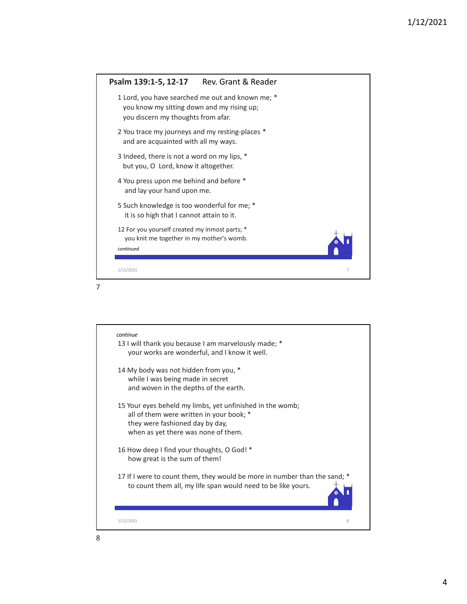

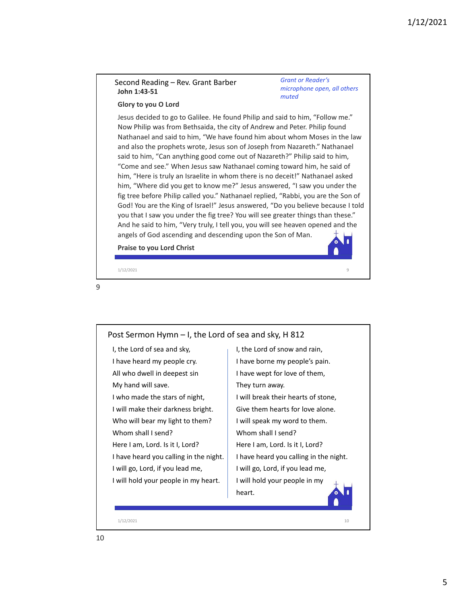## John 1:43-51

Grant or Reader's microphone open, all others muted

### Glory to you O Lord

1/12,<br>
Second Reading – Rev. Grant Barber<br>
John 1:43-51<br>
Second Reading – Rev. Grant Barber<br>
John 1:43-51<br>
Second Desity to you O Lord<br>
Jesus decided to go to Galilee. He found Philip and said to him, "Follow me."<br>
Now Phi Jesus decided to go to Galilee. He found Philip and said to him, "Follow me." Now Philip was from Bethsaida, the city of Andrew and Peter. Philip found Nathanael and said to him, "We have found him about whom Moses in the law and also the prophets wrote, Jesus son of Joseph from Nazareth." Nathanael said to him, "Can anything good come out of Nazareth?" Philip said to him, "Come and see." When Jesus saw Nathanael coming toward him, he said of him, "Here is truly an Israelite in whom there is no deceit!" Nathanael asked him, "Where did you get to know me?" Jesus answered, "I saw you under the fig tree before Philip called you." Nathanael replied, "Rabbi, you are the Son of God! You are the King of Israel!" Jesus answered, "Do you believe because I told you that I saw you under the fig tree? You will see greater things than these." And he said to him, "Very truly, I tell you, you will see heaven opened and the angels of God ascending and descending upon the Son of Man. Praise to you Lord Christ iecond Reading – Rev. Grant Barber<br>
imicrophone open, all others<br>
iohy 1:43-51<br>
Glory to you O Lord<br>
icless decided to go to Galilee. He found Philip and said to him, "Follow me."<br>
icless decided to go to Galilee. He found and also the prophets wrote, Jesus son of Joseph from Nazareth." Nathanael<br>
said to him, "Come and see." When Jesus saw Nathanael coming toward him, he said of<br>
him, "Here is truly an Israelite in whom there is no decelt!"

9

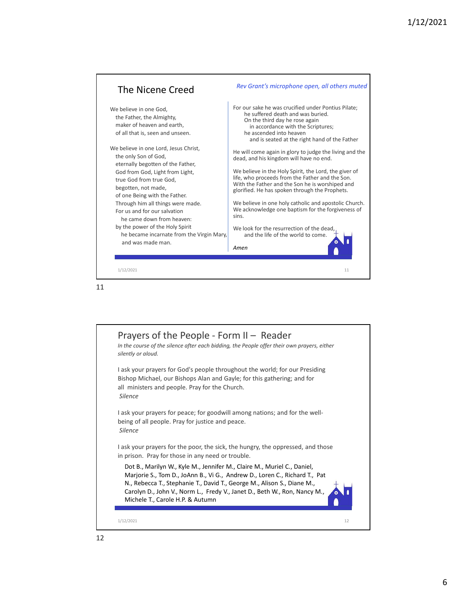



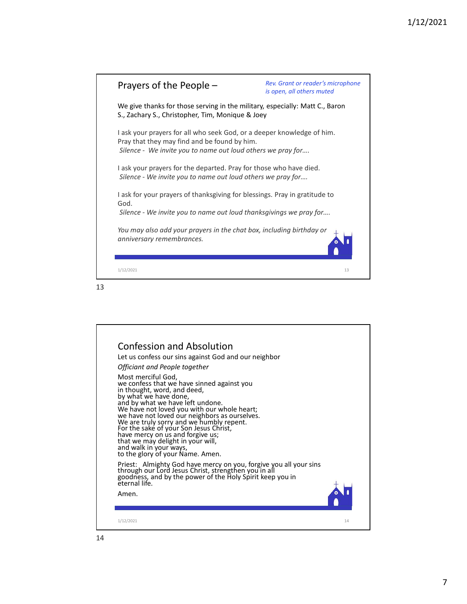| Prayers of the People -                                                                                                                                                               | Rev. Grant or reader's microphone<br>is open, all others muted |  |
|---------------------------------------------------------------------------------------------------------------------------------------------------------------------------------------|----------------------------------------------------------------|--|
| We give thanks for those serving in the military, especially: Matt C., Baron<br>S., Zachary S., Christopher, Tim, Monique & Joey                                                      |                                                                |  |
| I ask your prayers for all who seek God, or a deeper knowledge of him.<br>Pray that they may find and be found by him.<br>Silence - We invite you to name out loud others we pray for |                                                                |  |
| I ask your prayers for the departed. Pray for those who have died.<br>Silence - We invite you to name out loud others we pray for                                                     |                                                                |  |
| I ask for your prayers of thanksgiving for blessings. Pray in gratitude to<br>God.                                                                                                    |                                                                |  |
| Silence - We invite you to name out loud thanksgivings we pray for                                                                                                                    |                                                                |  |
| You may also add your prayers in the chat box, including birthday or<br>anniversary remembrances.                                                                                     |                                                                |  |
| 1/12/2021                                                                                                                                                                             | 13                                                             |  |

#### 13